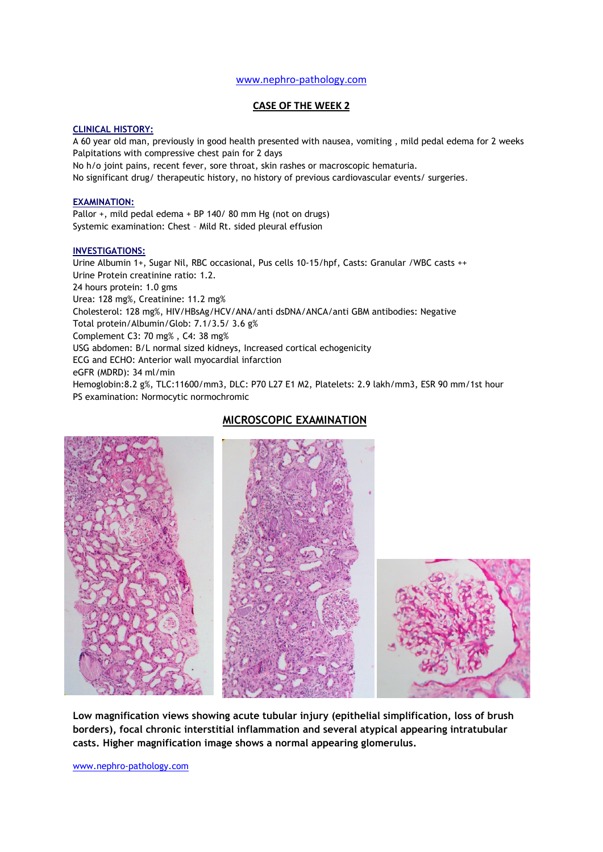#### [www.nephro-pathology.com](http://www.nephro-pathology.com/)

#### **CASE OF THE WEEK 2**

#### **CLINICAL HISTORY:**

A 60 year old man, previously in good health presented with nausea, vomiting , mild pedal edema for 2 weeks Palpitations with compressive chest pain for 2 days

No h/o joint pains, recent fever, sore throat, skin rashes or macroscopic hematuria.

No significant drug/ therapeutic history, no history of previous cardiovascular events/ surgeries.

#### **EXAMINATION:**

Pallor +, mild pedal edema + BP 140/ 80 mm Hg (not on drugs) Systemic examination: Chest – Mild Rt. sided pleural effusion

#### **INVESTIGATIONS:**

Urine Albumin 1+, Sugar Nil, RBC occasional, Pus cells 10-15/hpf, Casts: Granular /WBC casts ++ Urine Protein creatinine ratio: 1.2. 24 hours protein: 1.0 gms Urea: 128 mg%, Creatinine: 11.2 mg% Cholesterol: 128 mg%, HIV/HBsAg/HCV/ANA/anti dsDNA/ANCA/anti GBM antibodies: Negative Total protein/Albumin/Glob: 7.1/3.5/ 3.6 g% Complement C3: 70 mg% , C4: 38 mg% USG abdomen: B/L normal sized kidneys, Increased cortical echogenicity ECG and ECHO: Anterior wall myocardial infarction eGFR (MDRD): 34 ml/min Hemoglobin:8.2 g%, TLC:11600/mm3, DLC: P70 L27 E1 M2, Platelets: 2.9 lakh/mm3, ESR 90 mm/1st hour PS examination: Normocytic normochromic

### **MICROSCOPIC EXAMINATION**



**Low magnification views showing acute tubular injury (epithelial simplification, loss of brush borders), focal chronic interstitial inflammation and several atypical appearing intratubular casts. Higher magnification image shows a normal appearing glomerulus.**

[www.nephro-pathology.com](http://www.nephro-pathology.com/)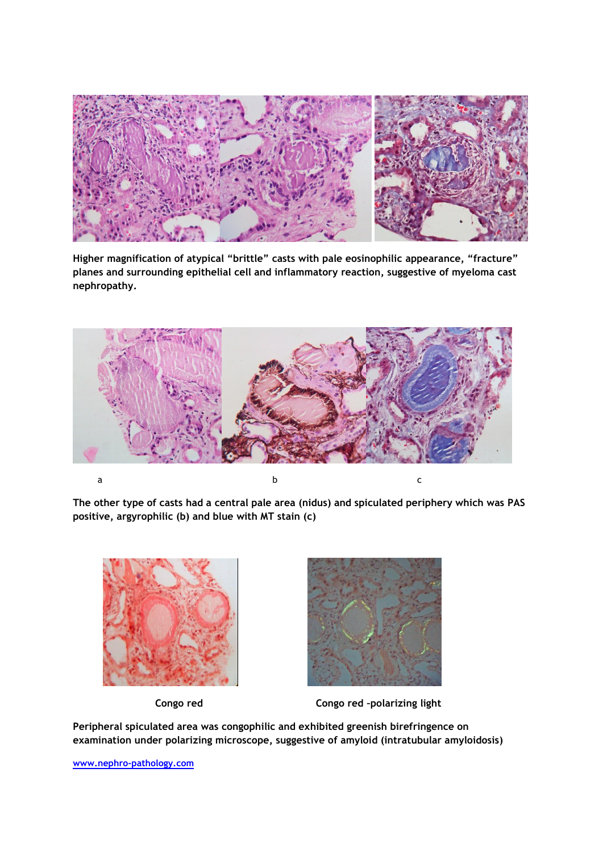

**Higher magnification of atypical "brittle" casts with pale eosinophilic appearance, "fracture" planes and surrounding epithelial cell and inflammatory reaction, suggestive of myeloma cast nephropathy.**



**The other type of casts had a central pale area (nidus) and spiculated periphery which was PAS positive, argyrophilic (b) and blue with MT stain (c)**





 **Congo red Congo red –polarizing light** 

**Peripheral spiculated area was congophilic and exhibited greenish birefringence on examination under polarizing microscope, suggestive of amyloid (intratubular amyloidosis)**

**[www.nephro-pathology.com](http://www.nephro-pathology.com/)**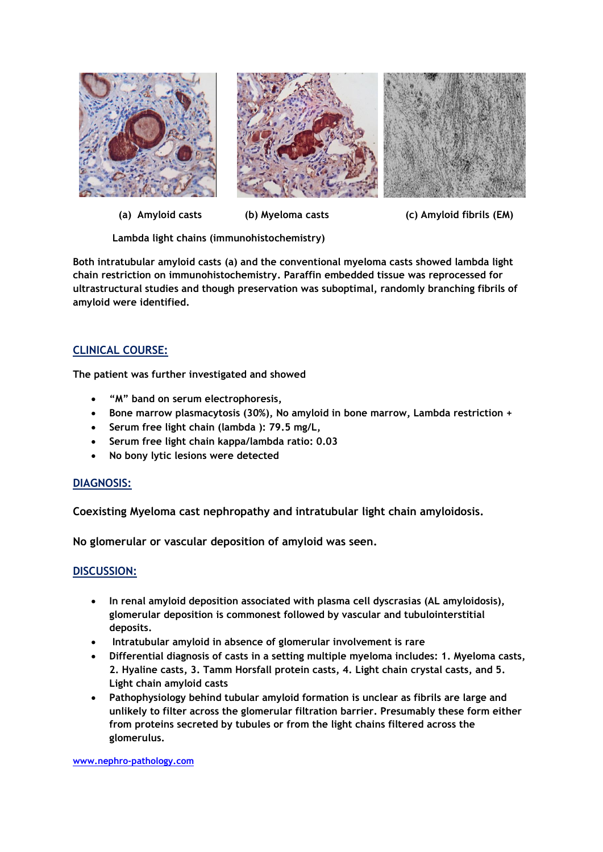

 **(a) Amyloid casts (b) Myeloma casts (c) Amyloid fibrils (EM)**

 **Lambda light chains (immunohistochemistry)**

**Both intratubular amyloid casts (a) and the conventional myeloma casts showed lambda light chain restriction on immunohistochemistry. Paraffin embedded tissue was reprocessed for ultrastructural studies and though preservation was suboptimal, randomly branching fibrils of amyloid were identified.**

# **CLINICAL COURSE:**

**The patient was further investigated and showed** 

- **"M" band on serum electrophoresis,**
- **Bone marrow plasmacytosis (30%), No amyloid in bone marrow, Lambda restriction +**
- **Serum free light chain (lambda ): 79.5 mg/L,**
- **Serum free light chain kappa/lambda ratio: 0.03**
- **No bony lytic lesions were detected**

# **DIAGNOSIS:**

**Coexisting Myeloma cast nephropathy and intratubular light chain amyloidosis.**

**No glomerular or vascular deposition of amyloid was seen.**

# **DISCUSSION:**

- **In renal amyloid deposition associated with plasma cell dyscrasias (AL amyloidosis), glomerular deposition is commonest followed by vascular and tubulointerstitial deposits.**
- **Intratubular amyloid in absence of glomerular involvement is rare**
- **Differential diagnosis of casts in a setting multiple myeloma includes: 1. Myeloma casts, 2. Hyaline casts, 3. Tamm Horsfall protein casts, 4. Light chain crystal casts, and 5. Light chain amyloid casts**
- **Pathophysiology behind tubular amyloid formation is unclear as fibrils are large and unlikely to filter across the glomerular filtration barrier. Presumably these form either from proteins secreted by tubules or from the light chains filtered across the glomerulus.**